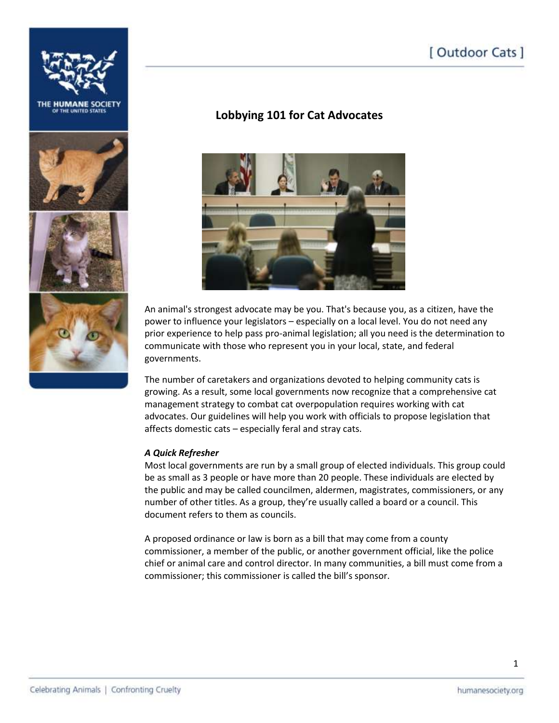# [ Outdoor Cats ]









## **Lobbying 101 for Cat Advocates**



An animal's strongest advocate may be you. That's because you, as a citizen, have the power to influence your legislators – especially on a local level. You do not need any prior experience to help pass pro-animal legislation; all you need is the determination to communicate with those who represent you in your local, state, and federal governments.

The number of caretakers and organizations devoted to helping community cats is growing. As a result, some local governments now recognize that a comprehensive cat management strategy to combat cat overpopulation requires working with cat advocates. Our guidelines will help you work with officials to propose legislation that affects domestic cats – especially feral and stray cats.

#### *A Quick Refresher*

Most local governments are run by a small group of elected individuals. This group could be as small as 3 people or have more than 20 people. These individuals are elected by the public and may be called councilmen, aldermen, magistrates, commissioners, or any number of other titles. As a group, they're usually called a board or a council. This document refers to them as councils.

A proposed ordinance or law is born as a bill that may come from a county commissioner, a member of the public, or another government official, like the police chief or animal care and control director. In many communities, a bill must come from a commissioner; this commissioner is called the bill's sponsor.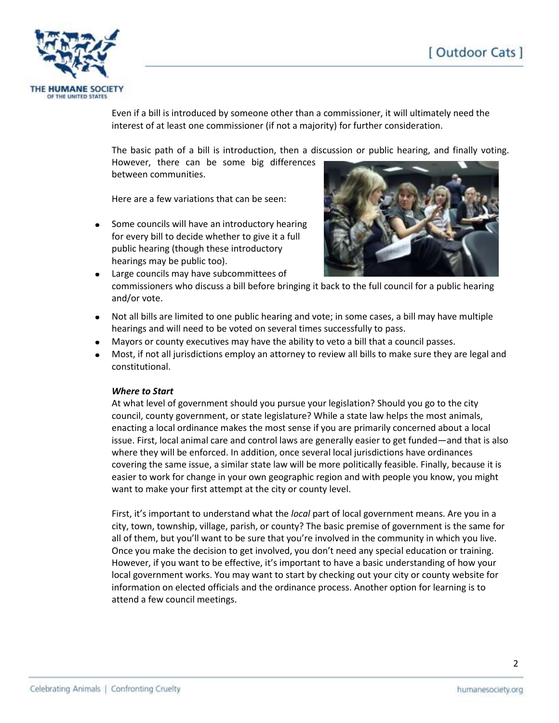

Even if a bill is introduced by someone other than a commissioner, it will ultimately need the interest of at least one commissioner (if not a majority) for further consideration.

The basic path of a bill is introduction, then a discussion or public hearing, and finally voting. However, there can be some big differences between communities.

Here are a few variations that can be seen:

Some councils will have an introductory hearing for every bill to decide whether to give it a full public hearing (though these introductory hearings may be public too).



- Large councils may have subcommittees of commissioners who discuss a bill before bringing it back to the full council for a public hearing and/or vote.
- Not all bills are limited to one public hearing and vote; in some cases, a bill may have multiple hearings and will need to be voted on several times successfully to pass.
- Mayors or county executives may have the ability to veto a bill that a council passes.
- Most, if not all jurisdictions employ an attorney to review all bills to make sure they are legal and constitutional.

#### *Where to Start*

At what level of government should you pursue your legislation? Should you go to the city council, county government, or state legislature? While a state law helps the most animals, enacting a local ordinance makes the most sense if you are primarily concerned about a local issue. First, local animal care and control laws are generally easier to get funded—and that is also where they will be enforced. In addition, once several local jurisdictions have ordinances covering the same issue, a similar state law will be more politically feasible. Finally, because it is easier to work for change in your own geographic region and with people you know, you might want to make your first attempt at the city or county level.

First, it's important to understand what the *local* part of local government means. Are you in a city, town, township, village, parish, or county? The basic premise of government is the same for all of them, but you'll want to be sure that you're involved in the community in which you live. Once you make the decision to get involved, you don't need any special education or training. However, if you want to be effective, it's important to have a basic understanding of how your local government works. You may want to start by checking out your city or county website for information on elected officials and the ordinance process. Another option for learning is to attend a few council meetings.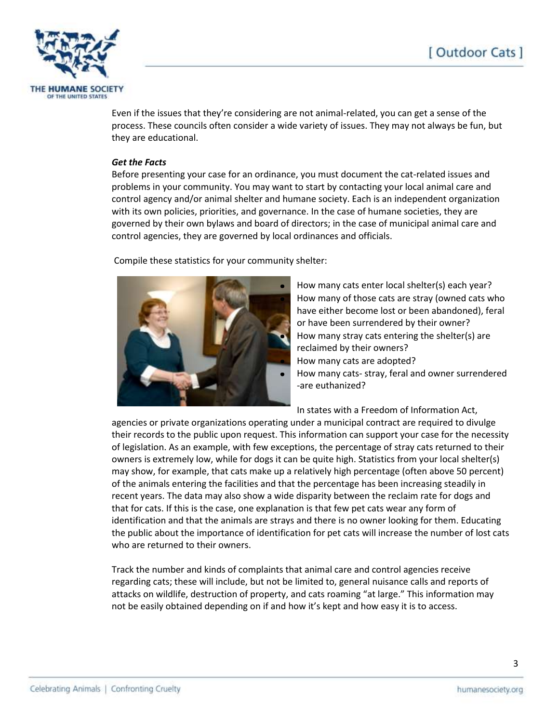

Even if the issues that they're considering are not animal-related, you can get a sense of the process. These councils often consider a wide variety of issues. They may not always be fun, but they are educational.

#### *Get the Facts*

Before presenting your case for an ordinance, you must document the cat-related issues and problems in your community. You may want to start by contacting your local animal care and control agency and/or animal shelter and humane society. Each is an independent organization with its own policies, priorities, and governance. In the case of humane societies, they are governed by their own bylaws and board of directors; in the case of municipal animal care and control agencies, they are governed by local ordinances and officials.

Compile these statistics for your community shelter:



How many cats enter local shelter(s) each year? How many of those cats are stray (owned cats who have either become lost or been abandoned), feral or have been surrendered by their owner? How many stray cats entering the shelter(s) are reclaimed by their owners? How many cats are adopted? How many cats- stray, feral and owner surrendered -are euthanized?

In states with a Freedom of Information Act,

agencies or private organizations operating under a municipal contract are required to divulge their records to the public upon request. This information can support your case for the necessity of legislation. As an example, with few exceptions, the percentage of stray cats returned to their owners is extremely low, while for dogs it can be quite high. Statistics from your local shelter(s) may show, for example, that cats make up a relatively high percentage (often above 50 percent) of the animals entering the facilities and that the percentage has been increasing steadily in recent years. The data may also show a wide disparity between the reclaim rate for dogs and that for cats. If this is the case, one explanation is that few pet cats wear any form of identification and that the animals are strays and there is no owner looking for them. Educating the public about the importance of identification for pet cats will increase the number of lost cats who are returned to their owners.

Track the number and kinds of complaints that animal care and control agencies receive regarding cats; these will include, but not be limited to, general nuisance calls and reports of attacks on wildlife, destruction of property, and cats roaming "at large." This information may not be easily obtained depending on if and how it's kept and how easy it is to access.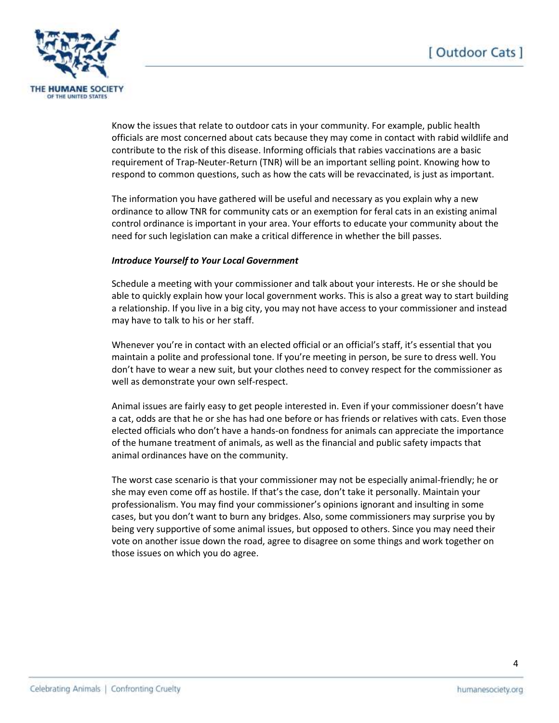

Know the issues that relate to outdoor cats in your community. For example, public health officials are most concerned about cats because they may come in contact with rabid wildlife and contribute to the risk of this disease. Informing officials that rabies vaccinations are a basic requirement of Trap-Neuter-Return (TNR) will be an important selling point. Knowing how to respond to common questions, such as how the cats will be revaccinated, is just as important.

The information you have gathered will be useful and necessary as you explain why a new ordinance to allow TNR for community cats or an exemption for feral cats in an existing animal control ordinance is important in your area. Your efforts to educate your community about the need for such legislation can make a critical difference in whether the bill passes.

#### *Introduce Yourself to Your Local Government*

Schedule a meeting with your commissioner and talk about your interests. He or she should be able to quickly explain how your local government works. This is also a great way to start building a relationship. If you live in a big city, you may not have access to your commissioner and instead may have to talk to his or her staff.

Whenever you're in contact with an elected official or an official's staff, it's essential that you maintain a polite and professional tone. If you're meeting in person, be sure to dress well. You don't have to wear a new suit, but your clothes need to convey respect for the commissioner as well as demonstrate your own self-respect.

Animal issues are fairly easy to get people interested in. Even if your commissioner doesn't have a cat, odds are that he or she has had one before or has friends or relatives with cats. Even those elected officials who don't have a hands-on fondness for animals can appreciate the importance of the humane treatment of animals, as well as the financial and public safety impacts that animal ordinances have on the community.

The worst case scenario is that your commissioner may not be especially animal-friendly; he or she may even come off as hostile. If that's the case, don't take it personally. Maintain your professionalism. You may find your commissioner's opinions ignorant and insulting in some cases, but you don't want to burn any bridges. Also, some commissioners may surprise you by being very supportive of some animal issues, but opposed to others. Since you may need their vote on another issue down the road, agree to disagree on some things and work together on those issues on which you do agree.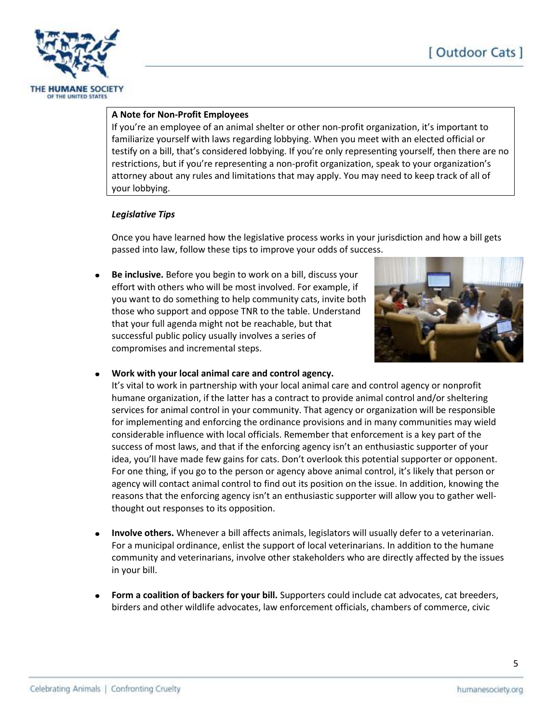

#### **A Note for Non-Profit Employees**

If you're an employee of an animal shelter or other non-profit organization, it's important to familiarize yourself with laws regarding lobbying. When you meet with an elected official or testify on a bill, that's considered lobbying. If you're only representing yourself, then there are no restrictions, but if you're representing a non-profit organization, speak to your organization's attorney about any rules and limitations that may apply. You may need to keep track of all of your lobbying.

#### *Legislative Tips*

Once you have learned how the legislative process works in your jurisdiction and how a bill gets passed into law, follow these tips to improve your odds of success.

**Be inclusive.** Before you begin to work on a bill, discuss your effort with others who will be most involved. For example, if you want to do something to help community cats, invite both those who support and oppose TNR to the table. Understand that your full agenda might not be reachable, but that successful public policy usually involves a series of compromises and incremental steps.



#### **Work with your local animal care and control agency.**

It's vital to work in partnership with your local animal care and control agency or nonprofit humane organization, if the latter has a contract to provide animal control and/or sheltering services for animal control in your community. That agency or organization will be responsible for implementing and enforcing the ordinance provisions and in many communities may wield considerable influence with local officials. Remember that enforcement is a key part of the success of most laws, and that if the enforcing agency isn't an enthusiastic supporter of your idea, you'll have made few gains for cats. Don't overlook this potential supporter or opponent. For one thing, if you go to the person or agency above animal control, it's likely that person or agency will contact animal control to find out its position on the issue. In addition, knowing the reasons that the enforcing agency isn't an enthusiastic supporter will allow you to gather wellthought out responses to its opposition.

- **Involve others.** Whenever a bill affects animals, legislators will usually defer to a veterinarian. For a municipal ordinance, enlist the support of local veterinarians. In addition to the humane community and veterinarians, involve other stakeholders who are directly affected by the issues in your bill.
- **Form a coalition of backers for your bill.** Supporters could include cat advocates, cat breeders, birders and other wildlife advocates, law enforcement officials, chambers of commerce, civic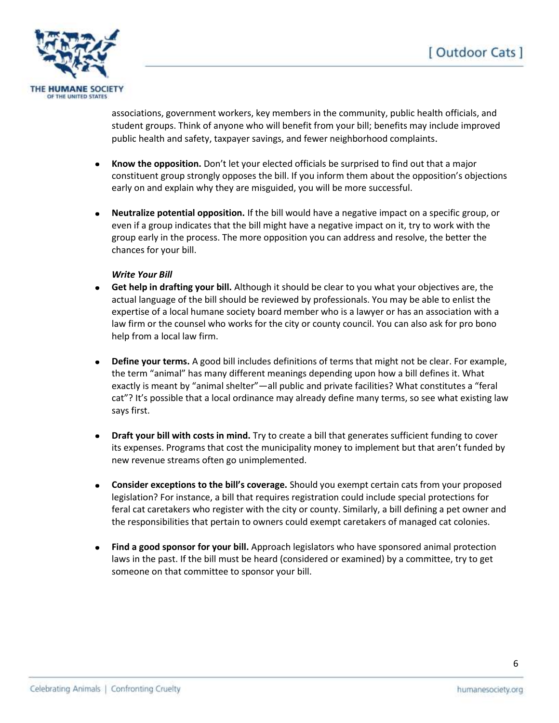

associations, government workers, key members in the community, public health officials, and student groups. Think of anyone who will benefit from your bill; benefits may include improved public health and safety, taxpayer savings, and fewer neighborhood complaints.

- $\bullet$ **Know the opposition.** Don't let your elected officials be surprised to find out that a major constituent group strongly opposes the bill. If you inform them about the opposition's objections early on and explain why they are misguided, you will be more successful.
- **Neutralize potential opposition.** If the bill would have a negative impact on a specific group, or even if a group indicates that the bill might have a negative impact on it, try to work with the group early in the process. The more opposition you can address and resolve, the better the chances for your bill.

#### *Write Your Bill*

- **Get help in drafting your bill.** Although it should be clear to you what your objectives are, the actual language of the bill should be reviewed by professionals. You may be able to enlist the expertise of a local humane society board member who is a lawyer or has an association with a law firm or the counsel who works for the city or county council. You can also ask for pro bono help from a local law firm.
- **Define your terms.** A good bill includes definitions of terms that might not be clear. For example, the term "animal" has many different meanings depending upon how a bill defines it. What exactly is meant by "animal shelter"—all public and private facilities? What constitutes a "feral cat"? It's possible that a local ordinance may already define many terms, so see what existing law says first.
- **Draft your bill with costs in mind.** Try to create a bill that generates sufficient funding to cover its expenses. Programs that cost the municipality money to implement but that aren't funded by new revenue streams often go unimplemented.
- **Consider exceptions to the bill's coverage.** Should you exempt certain cats from your proposed legislation? For instance, a bill that requires registration could include special protections for feral cat caretakers who register with the city or county. Similarly, a bill defining a pet owner and the responsibilities that pertain to owners could exempt caretakers of managed cat colonies.
- **Find a good sponsor for your bill.** Approach legislators who have sponsored animal protection laws in the past. If the bill must be heard (considered or examined) by a committee, try to get someone on that committee to sponsor your bill.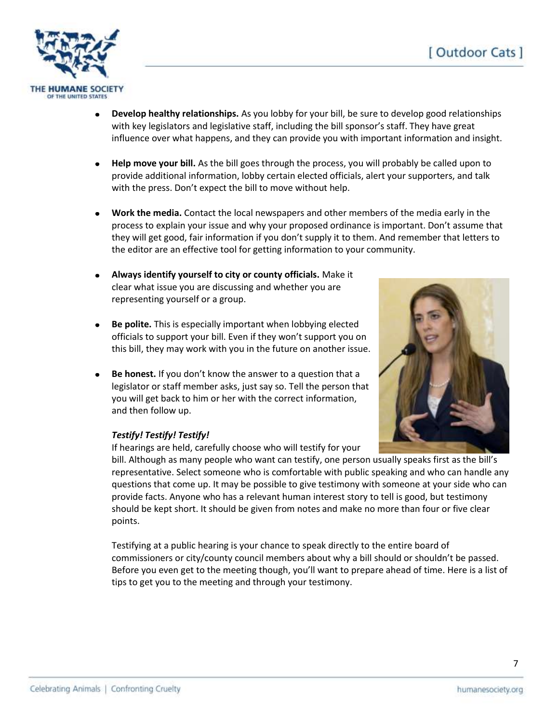

- **Develop healthy relationships.** As you lobby for your bill, be sure to develop good relationships with key legislators and legislative staff, including the bill sponsor's staff. They have great influence over what happens, and they can provide you with important information and insight.
- **Help move your bill.** As the bill goes through the process, you will probably be called upon to provide additional information, lobby certain elected officials, alert your supporters, and talk with the press. Don't expect the bill to move without help.
- **Work the media.** Contact the local newspapers and other members of the media early in the process to explain your issue and why your proposed ordinance is important. Don't assume that they will get good, fair information if you don't supply it to them. And remember that letters to the editor are an effective tool for getting information to your community.
- **Always identify yourself to city or county officials.** Make it clear what issue you are discussing and whether you are representing yourself or a group.
- $\bullet$ **Be polite.** This is especially important when lobbying elected officials to support your bill. Even if they won't support you on this bill, they may work with you in the future on another issue.
- **Be honest.** If you don't know the answer to a question that a legislator or staff member asks, just say so. Tell the person that you will get back to him or her with the correct information, and then follow up.

### *Testify! Testify! Testify!*

If hearings are held, carefully choose who will testify for your

bill. Although as many people who want can testify, one person usually speaks first as the bill's representative. Select someone who is comfortable with public speaking and who can handle any questions that come up. It may be possible to give testimony with someone at your side who can provide facts. Anyone who has a relevant human interest story to tell is good, but testimony should be kept short. It should be given from notes and make no more than four or five clear points.

Testifying at a public hearing is your chance to speak directly to the entire board of commissioners or city/county council members about why a bill should or shouldn't be passed. Before you even get to the meeting though, you'll want to prepare ahead of time. Here is a list of tips to get you to the meeting and through your testimony.

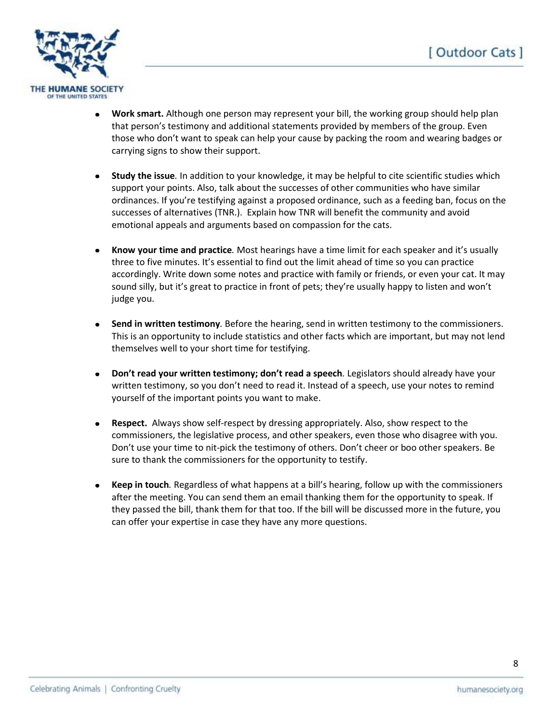

- **Work smart.** Although one person may represent your bill, the working group should help plan that person's testimony and additional statements provided by members of the group. Even those who don't want to speak can help your cause by packing the room and wearing badges or carrying signs to show their support.
- **Study the issue***.* In addition to your knowledge, it may be helpful to cite scientific studies which support your points. Also, talk about the successes of other communities who have similar ordinances. If you're testifying against a proposed ordinance, such as a feeding ban, focus on the successes of alternatives (TNR.). Explain how TNR will benefit the community and avoid emotional appeals and arguments based on compassion for the cats.
- **Know your time and practice***.* Most hearings have a time limit for each speaker and it's usually three to five minutes. It's essential to find out the limit ahead of time so you can practice accordingly. Write down some notes and practice with family or friends, or even your cat. It may sound silly, but it's great to practice in front of pets; they're usually happy to listen and won't judge you.
- **Send in written testimony***.* Before the hearing, send in written testimony to the commissioners.  $\bullet$ This is an opportunity to include statistics and other facts which are important, but may not lend themselves well to your short time for testifying.
- **Don't read your written testimony; don't read a speech***.* Legislators should already have your  $\bullet$ written testimony, so you don't need to read it. Instead of a speech, use your notes to remind yourself of the important points you want to make.
- **Respect.** Always show self-respect by dressing appropriately. Also, show respect to the commissioners, the legislative process, and other speakers, even those who disagree with you. Don't use your time to nit-pick the testimony of others. Don't cheer or boo other speakers. Be sure to thank the commissioners for the opportunity to testify.
- **Keep in touch***.* Regardless of what happens at a bill's hearing, follow up with the commissioners after the meeting. You can send them an email thanking them for the opportunity to speak. If they passed the bill, thank them for that too. If the bill will be discussed more in the future, you can offer your expertise in case they have any more questions.